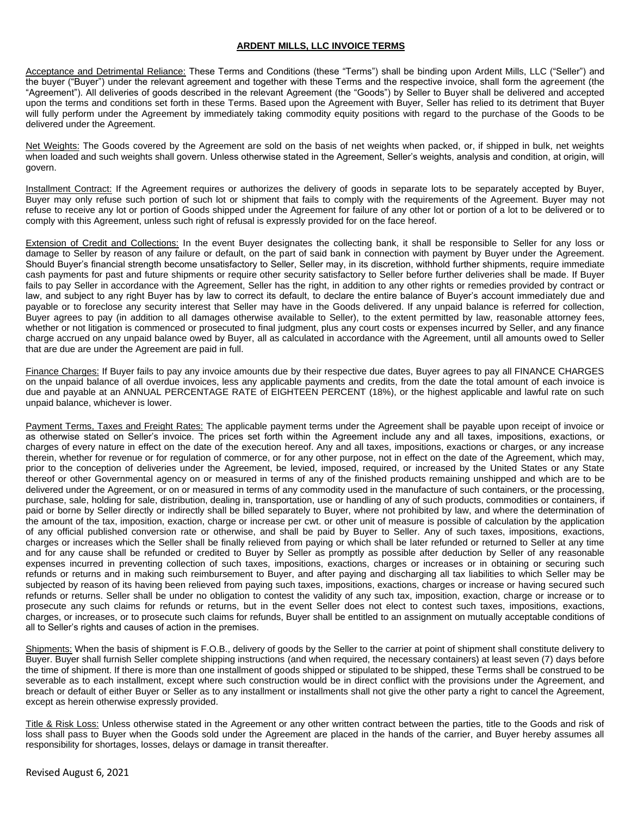## **ARDENT MILLS, LLC INVOICE TERMS**

Acceptance and Detrimental Reliance: These Terms and Conditions (these "Terms") shall be binding upon Ardent Mills, LLC ("Seller") and the buyer ("Buyer") under the relevant agreement and together with these Terms and the respective invoice, shall form the agreement (the "Agreement"). All deliveries of goods described in the relevant Agreement (the "Goods") by Seller to Buyer shall be delivered and accepted upon the terms and conditions set forth in these Terms. Based upon the Agreement with Buyer, Seller has relied to its detriment that Buyer will fully perform under the Agreement by immediately taking commodity equity positions with regard to the purchase of the Goods to be delivered under the Agreement.

Net Weights: The Goods covered by the Agreement are sold on the basis of net weights when packed, or, if shipped in bulk, net weights when loaded and such weights shall govern. Unless otherwise stated in the Agreement, Seller's weights, analysis and condition, at origin, will govern.

Installment Contract: If the Agreement requires or authorizes the delivery of goods in separate lots to be separately accepted by Buyer, Buyer may only refuse such portion of such lot or shipment that fails to comply with the requirements of the Agreement. Buyer may not refuse to receive any lot or portion of Goods shipped under the Agreement for failure of any other lot or portion of a lot to be delivered or to comply with this Agreement, unless such right of refusal is expressly provided for on the face hereof.

Extension of Credit and Collections: In the event Buyer designates the collecting bank, it shall be responsible to Seller for any loss or damage to Seller by reason of any failure or default, on the part of said bank in connection with payment by Buyer under the Agreement. Should Buyer's financial strength become unsatisfactory to Seller, Seller may, in its discretion, withhold further shipments, require immediate cash payments for past and future shipments or require other security satisfactory to Seller before further deliveries shall be made. If Buyer fails to pay Seller in accordance with the Agreement, Seller has the right, in addition to any other rights or remedies provided by contract or law, and subject to any right Buyer has by law to correct its default, to declare the entire balance of Buyer's account immediately due and payable or to foreclose any security interest that Seller may have in the Goods delivered. If any unpaid balance is referred for collection, Buyer agrees to pay (in addition to all damages otherwise available to Seller), to the extent permitted by law, reasonable attorney fees, whether or not litigation is commenced or prosecuted to final judgment, plus any court costs or expenses incurred by Seller, and any finance charge accrued on any unpaid balance owed by Buyer, all as calculated in accordance with the Agreement, until all amounts owed to Seller that are due are under the Agreement are paid in full.

Finance Charges: If Buyer fails to pay any invoice amounts due by their respective due dates, Buyer agrees to pay all FINANCE CHARGES on the unpaid balance of all overdue invoices, less any applicable payments and credits, from the date the total amount of each invoice is due and payable at an ANNUAL PERCENTAGE RATE of EIGHTEEN PERCENT (18%), or the highest applicable and lawful rate on such unpaid balance, whichever is lower.

Payment Terms, Taxes and Freight Rates: The applicable payment terms under the Agreement shall be payable upon receipt of invoice or as otherwise stated on Seller's invoice. The prices set forth within the Agreement include any and all taxes, impositions, exactions, or charges of every nature in effect on the date of the execution hereof. Any and all taxes, impositions, exactions or charges, or any increase therein, whether for revenue or for regulation of commerce, or for any other purpose, not in effect on the date of the Agreement, which may, prior to the conception of deliveries under the Agreement, be levied, imposed, required, or increased by the United States or any State thereof or other Governmental agency on or measured in terms of any of the finished products remaining unshipped and which are to be delivered under the Agreement, or on or measured in terms of any commodity used in the manufacture of such containers, or the processing, purchase, sale, holding for sale, distribution, dealing in, transportation, use or handling of any of such products, commodities or containers, if paid or borne by Seller directly or indirectly shall be billed separately to Buyer, where not prohibited by law, and where the determination of the amount of the tax, imposition, exaction, charge or increase per cwt. or other unit of measure is possible of calculation by the application of any official published conversion rate or otherwise, and shall be paid by Buyer to Seller. Any of such taxes, impositions, exactions, charges or increases which the Seller shall be finally relieved from paying or which shall be later refunded or returned to Seller at any time and for any cause shall be refunded or credited to Buyer by Seller as promptly as possible after deduction by Seller of any reasonable expenses incurred in preventing collection of such taxes, impositions, exactions, charges or increases or in obtaining or securing such refunds or returns and in making such reimbursement to Buyer, and after paying and discharging all tax liabilities to which Seller may be subjected by reason of its having been relieved from paying such taxes, impositions, exactions, charges or increase or having secured such refunds or returns. Seller shall be under no obligation to contest the validity of any such tax, imposition, exaction, charge or increase or to prosecute any such claims for refunds or returns, but in the event Seller does not elect to contest such taxes, impositions, exactions, charges, or increases, or to prosecute such claims for refunds, Buyer shall be entitled to an assignment on mutually acceptable conditions of all to Seller's rights and causes of action in the premises.

Shipments: When the basis of shipment is F.O.B., delivery of goods by the Seller to the carrier at point of shipment shall constitute delivery to Buyer. Buyer shall furnish Seller complete shipping instructions (and when required, the necessary containers) at least seven (7) days before the time of shipment. If there is more than one installment of goods shipped or stipulated to be shipped, these Terms shall be construed to be severable as to each installment, except where such construction would be in direct conflict with the provisions under the Agreement, and breach or default of either Buyer or Seller as to any installment or installments shall not give the other party a right to cancel the Agreement, except as herein otherwise expressly provided.

Title & Risk Loss: Unless otherwise stated in the Agreement or any other written contract between the parties, title to the Goods and risk of loss shall pass to Buyer when the Goods sold under the Agreement are placed in the hands of the carrier, and Buyer hereby assumes all responsibility for shortages, losses, delays or damage in transit thereafter.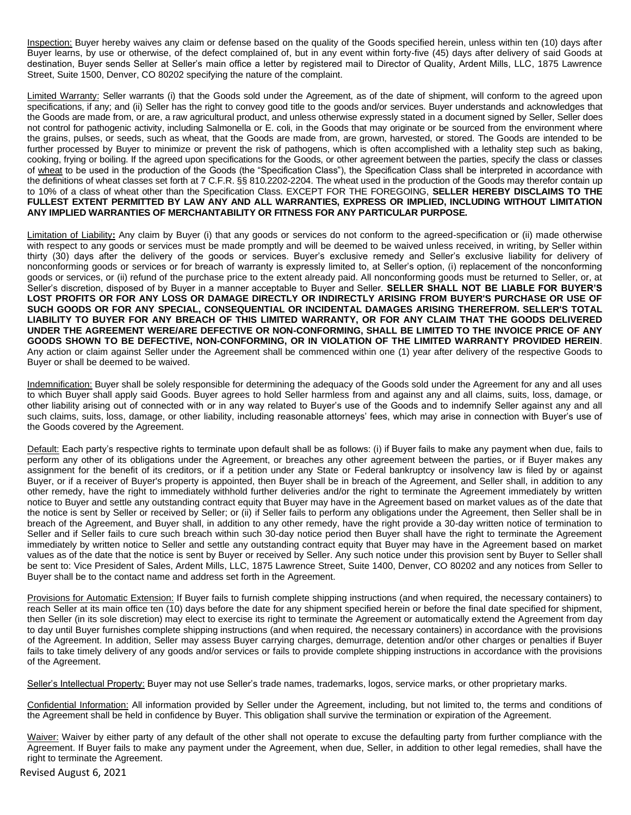Inspection: Buyer hereby waives any claim or defense based on the quality of the Goods specified herein, unless within ten (10) days after Buyer learns, by use or otherwise, of the defect complained of, but in any event within forty-five (45) days after delivery of said Goods at destination, Buyer sends Seller at Seller's main office a letter by registered mail to Director of Quality, Ardent Mills, LLC, 1875 Lawrence Street, Suite 1500, Denver, CO 80202 specifying the nature of the complaint.

Limited Warranty: Seller warrants (i) that the Goods sold under the Agreement, as of the date of shipment, will conform to the agreed upon specifications, if any; and (ii) Seller has the right to convey good title to the goods and/or services. Buyer understands and acknowledges that the Goods are made from, or are, a raw agricultural product, and unless otherwise expressly stated in a document signed by Seller, Seller does not control for pathogenic activity, including Salmonella or E. coli, in the Goods that may originate or be sourced from the environment where the grains, pulses, or seeds, such as wheat, that the Goods are made from, are grown, harvested, or stored. The Goods are intended to be further processed by Buyer to minimize or prevent the risk of pathogens, which is often accomplished with a lethality step such as baking, cooking, frying or boiling. If the agreed upon specifications for the Goods, or other agreement between the parties, specify the class or classes of wheat to be used in the production of the Goods (the "Specification Class"), the Specification Class shall be interpreted in accordance with the definitions of wheat classes set forth at 7 C.F.R. §§ 810.2202-2204. The wheat used in the production of the Goods may therefor contain up to 10% of a class of wheat other than the Specification Class. EXCEPT FOR THE FOREGOING, **SELLER HEREBY DISCLAIMS TO THE FULLEST EXTENT PERMITTED BY LAW ANY AND ALL WARRANTIES, EXPRESS OR IMPLIED, INCLUDING WITHOUT LIMITATION ANY IMPLIED WARRANTIES OF MERCHANTABILITY OR FITNESS FOR ANY PARTICULAR PURPOSE.**

Limitation of Liability**:** Any claim by Buyer (i) that any goods or services do not conform to the agreed-specification or (ii) made otherwise with respect to any goods or services must be made promptly and will be deemed to be waived unless received, in writing, by Seller within thirty (30) days after the delivery of the goods or services. Buyer's exclusive remedy and Seller's exclusive liability for delivery of nonconforming goods or services or for breach of warranty is expressly limited to, at Seller's option, (i) replacement of the nonconforming goods or services, or (ii) refund of the purchase price to the extent already paid. All nonconforming goods must be returned to Seller, or, at Seller's discretion, disposed of by Buyer in a manner acceptable to Buyer and Seller. **SELLER SHALL NOT BE LIABLE FOR BUYER'S LOST PROFITS OR FOR ANY LOSS OR DAMAGE DIRECTLY OR INDIRECTLY ARISING FROM BUYER'S PURCHASE OR USE OF SUCH GOODS OR FOR ANY SPECIAL, CONSEQUENTIAL OR INCIDENTAL DAMAGES ARISING THEREFROM. SELLER'S TOTAL LIABILITY TO BUYER FOR ANY BREACH OF THIS LIMITED WARRANTY, OR FOR ANY CLAIM THAT THE GOODS DELIVERED UNDER THE AGREEMENT WERE/ARE DEFECTIVE OR NON-CONFORMING, SHALL BE LIMITED TO THE INVOICE PRICE OF ANY GOODS SHOWN TO BE DEFECTIVE, NON-CONFORMING, OR IN VIOLATION OF THE LIMITED WARRANTY PROVIDED HEREIN**. Any action or claim against Seller under the Agreement shall be commenced within one (1) year after delivery of the respective Goods to Buyer or shall be deemed to be waived.

Indemnification: Buyer shall be solely responsible for determining the adequacy of the Goods sold under the Agreement for any and all uses to which Buyer shall apply said Goods. Buyer agrees to hold Seller harmless from and against any and all claims, suits, loss, damage, or other liability arising out of connected with or in any way related to Buyer's use of the Goods and to indemnify Seller against any and all such claims, suits, loss, damage, or other liability, including reasonable attorneys' fees, which may arise in connection with Buyer's use of the Goods covered by the Agreement.

Default: Each party's respective rights to terminate upon default shall be as follows: (i) if Buyer fails to make any payment when due, fails to perform any other of its obligations under the Agreement, or breaches any other agreement between the parties, or if Buyer makes any assignment for the benefit of its creditors, or if a petition under any State or Federal bankruptcy or insolvency law is filed by or against Buyer, or if a receiver of Buyer's property is appointed, then Buyer shall be in breach of the Agreement, and Seller shall, in addition to any other remedy, have the right to immediately withhold further deliveries and/or the right to terminate the Agreement immediately by written notice to Buyer and settle any outstanding contract equity that Buyer may have in the Agreement based on market values as of the date that the notice is sent by Seller or received by Seller; or (ii) if Seller fails to perform any obligations under the Agreement, then Seller shall be in breach of the Agreement, and Buyer shall, in addition to any other remedy, have the right provide a 30-day written notice of termination to Seller and if Seller fails to cure such breach within such 30-day notice period then Buyer shall have the right to terminate the Agreement immediately by written notice to Seller and settle any outstanding contract equity that Buyer may have in the Agreement based on market values as of the date that the notice is sent by Buyer or received by Seller. Any such notice under this provision sent by Buyer to Seller shall be sent to: Vice President of Sales, Ardent Mills, LLC, 1875 Lawrence Street, Suite 1400, Denver, CO 80202 and any notices from Seller to Buyer shall be to the contact name and address set forth in the Agreement.

Provisions for Automatic Extension: If Buyer fails to furnish complete shipping instructions (and when required, the necessary containers) to reach Seller at its main office ten (10) days before the date for any shipment specified herein or before the final date specified for shipment, then Seller (in its sole discretion) may elect to exercise its right to terminate the Agreement or automatically extend the Agreement from day to day until Buyer furnishes complete shipping instructions (and when required, the necessary containers) in accordance with the provisions of the Agreement. In addition, Seller may assess Buyer carrying charges, demurrage, detention and/or other charges or penalties if Buyer fails to take timely delivery of any goods and/or services or fails to provide complete shipping instructions in accordance with the provisions of the Agreement.

Seller's Intellectual Property: Buyer may not use Seller's trade names, trademarks, logos, service marks, or other proprietary marks.

Confidential Information: All information provided by Seller under the Agreement, including, but not limited to, the terms and conditions of the Agreement shall be held in confidence by Buyer. This obligation shall survive the termination or expiration of the Agreement.

Waiver: Waiver by either party of any default of the other shall not operate to excuse the defaulting party from further compliance with the Agreement. If Buyer fails to make any payment under the Agreement, when due, Seller, in addition to other legal remedies, shall have the right to terminate the Agreement.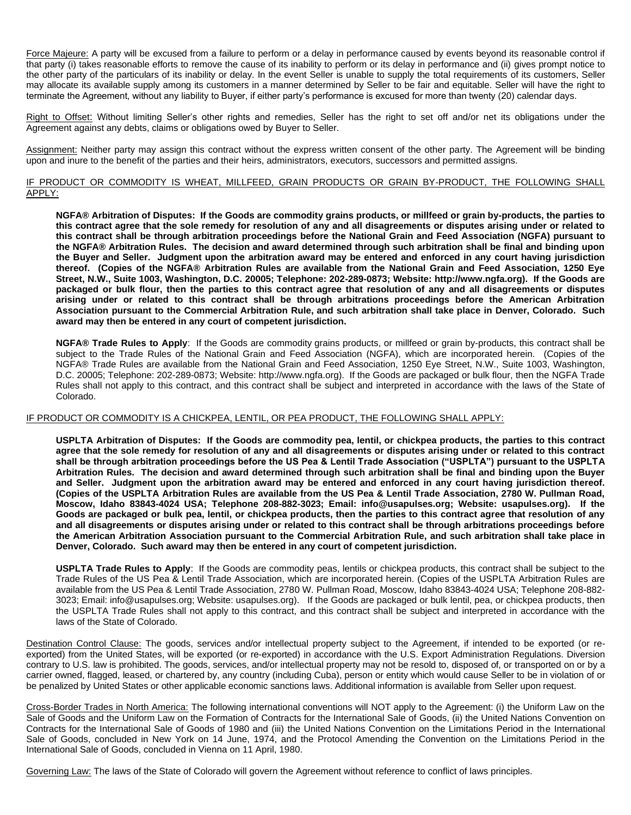Force Majeure: A party will be excused from a failure to perform or a delay in performance caused by events beyond its reasonable control if that party (i) takes reasonable efforts to remove the cause of its inability to perform or its delay in performance and (ii) gives prompt notice to the other party of the particulars of its inability or delay. In the event Seller is unable to supply the total requirements of its customers, Seller may allocate its available supply among its customers in a manner determined by Seller to be fair and equitable. Seller will have the right to terminate the Agreement, without any liability to Buyer, if either party's performance is excused for more than twenty (20) calendar days.

Right to Offset: Without limiting Seller's other rights and remedies, Seller has the right to set off and/or net its obligations under the Agreement against any debts, claims or obligations owed by Buyer to Seller.

Assignment: Neither party may assign this contract without the express written consent of the other party. The Agreement will be binding upon and inure to the benefit of the parties and their heirs, administrators, executors, successors and permitted assigns.

## IF PRODUCT OR COMMODITY IS WHEAT, MILLFEED, GRAIN PRODUCTS OR GRAIN BY-PRODUCT, THE FOLLOWING SHALL APPLY:

**NGFA® Arbitration of Disputes: If the Goods are commodity grains products, or millfeed or grain by-products, the parties to this contract agree that the sole remedy for resolution of any and all disagreements or disputes arising under or related to this contract shall be through arbitration proceedings before the National Grain and Feed Association (NGFA) pursuant to the NGFA® Arbitration Rules. The decision and award determined through such arbitration shall be final and binding upon the Buyer and Seller. Judgment upon the arbitration award may be entered and enforced in any court having jurisdiction thereof. (Copies of the NGFA® Arbitration Rules are available from the National Grain and Feed Association, 1250 Eye Street, N.W., Suite 1003, Washington, D.C. 20005; Telephone: 202-289-0873; Website: http://www.ngfa.org). If the Goods are packaged or bulk flour, then the parties to this contract agree that resolution of any and all disagreements or disputes arising under or related to this contract shall be through arbitrations proceedings before the American Arbitration Association pursuant to the Commercial Arbitration Rule, and such arbitration shall take place in Denver, Colorado. Such award may then be entered in any court of competent jurisdiction.**

**NGFA® Trade Rules to Apply**: If the Goods are commodity grains products, or millfeed or grain by-products, this contract shall be subject to the Trade Rules of the National Grain and Feed Association (NGFA), which are incorporated herein. (Copies of the NGFA® Trade Rules are available from the National Grain and Feed Association, 1250 Eye Street, N.W., Suite 1003, Washington, D.C. 20005; Telephone: 202-289-0873; Website: http://www.ngfa.org). If the Goods are packaged or bulk flour, then the NGFA Trade Rules shall not apply to this contract, and this contract shall be subject and interpreted in accordance with the laws of the State of Colorado.

## IF PRODUCT OR COMMODITY IS A CHICKPEA, LENTIL, OR PEA PRODUCT, THE FOLLOWING SHALL APPLY:

**USPLTA Arbitration of Disputes: If the Goods are commodity pea, lentil, or chickpea products, the parties to this contract agree that the sole remedy for resolution of any and all disagreements or disputes arising under or related to this contract shall be through arbitration proceedings before the US Pea & Lentil Trade Association ("USPLTA") pursuant to the USPLTA Arbitration Rules. The decision and award determined through such arbitration shall be final and binding upon the Buyer and Seller. Judgment upon the arbitration award may be entered and enforced in any court having jurisdiction thereof. (Copies of the USPLTA Arbitration Rules are available from the US Pea & Lentil Trade Association, 2780 W. Pullman Road, Moscow, Idaho 83843-4024 USA; Telephone 208-882-3023; Email: info@usapulses.org; Website: usapulses.org). If the Goods are packaged or bulk pea, lentil, or chickpea products, then the parties to this contract agree that resolution of any and all disagreements or disputes arising under or related to this contract shall be through arbitrations proceedings before the American Arbitration Association pursuant to the Commercial Arbitration Rule, and such arbitration shall take place in Denver, Colorado. Such award may then be entered in any court of competent jurisdiction.**

**USPLTA Trade Rules to Apply**: If the Goods are commodity peas, lentils or chickpea products, this contract shall be subject to the Trade Rules of the US Pea & Lentil Trade Association, which are incorporated herein. (Copies of the USPLTA Arbitration Rules are available from the US Pea & Lentil Trade Association, 2780 W. Pullman Road, Moscow, Idaho 83843-4024 USA; Telephone 208-882- 3023; Email: info@usapulses.org; Website: usapulses.org). If the Goods are packaged or bulk lentil, pea, or chickpea products, then the USPLTA Trade Rules shall not apply to this contract, and this contract shall be subject and interpreted in accordance with the laws of the State of Colorado.

Destination Control Clause: The goods, services and/or intellectual property subject to the Agreement, if intended to be exported (or reexported) from the United States, will be exported (or re-exported) in accordance with the U.S. Export Administration Regulations. Diversion contrary to U.S. law is prohibited. The goods, services, and/or intellectual property may not be resold to, disposed of, or transported on or by a carrier owned, flagged, leased, or chartered by, any country (including Cuba), person or entity which would cause Seller to be in violation of or be penalized by United States or other applicable economic sanctions laws. Additional information is available from Seller upon request.

Cross-Border Trades in North America: The following international conventions will NOT apply to the Agreement: (i) the Uniform Law on the Sale of Goods and the Uniform Law on the Formation of Contracts for the International Sale of Goods, (ii) the United Nations Convention on Contracts for the International Sale of Goods of 1980 and (iii) the United Nations Convention on the Limitations Period in the International Sale of Goods, concluded in New York on 14 June, 1974, and the Protocol Amending the Convention on the Limitations Period in the International Sale of Goods, concluded in Vienna on 11 April, 1980.

Governing Law: The laws of the State of Colorado will govern the Agreement without reference to conflict of laws principles.